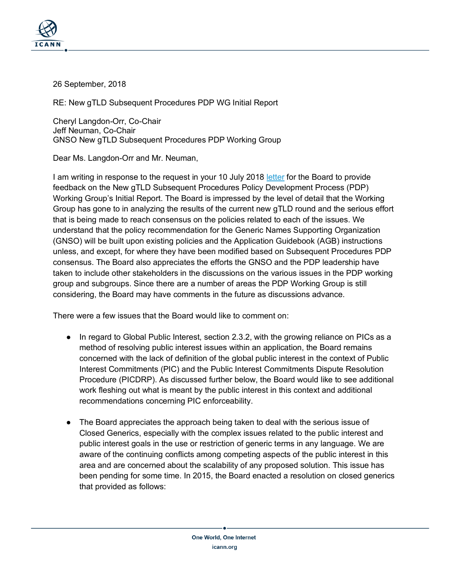

26 September, 2018

RE: New gTLD Subsequent Procedures PDP WG Initial Report

Cheryl Langdon-Orr, Co-Chair Jeff Neuman, Co-Chair GNSO New gTLD Subsequent Procedures PDP Working Group

Dear Ms. Langdon-Orr and Mr. Neuman,

I am writing in response to the request in your 10 July 2018 [letter](https://www.icann.org/en/system/files/correspondence/langdon-orr-to-neuman-to-chalaby-10jul18-en.pdf) for the Board to provide feedback on the New gTLD Subsequent Procedures Policy Development Process (PDP) Working Group's Initial Report. The Board is impressed by the level of detail that the Working Group has gone to in analyzing the results of the current new gTLD round and the serious effort that is being made to reach consensus on the policies related to each of the issues. We understand that the policy recommendation for the Generic Names Supporting Organization (GNSO) will be built upon existing policies and the Application Guidebook (AGB) instructions unless, and except, for where they have been modified based on Subsequent Procedures PDP consensus. The Board also appreciates the efforts the GNSO and the PDP leadership have taken to include other stakeholders in the discussions on the various issues in the PDP working group and subgroups. Since there are a number of areas the PDP Working Group is still considering, the Board may have comments in the future as discussions advance.

There were a few issues that the Board would like to comment on:

- In regard to Global Public Interest, section 2.3.2, with the growing reliance on PICs as a method of resolving public interest issues within an application, the Board remains concerned with the lack of definition of the global public interest in the context of Public Interest Commitments (PIC) and the Public Interest Commitments Dispute Resolution Procedure (PICDRP). As discussed further below, the Board would like to see additional work fleshing out what is meant by the public interest in this context and additional recommendations concerning PIC enforceability.
- The Board appreciates the approach being taken to deal with the serious issue of Closed Generics, especially with the complex issues related to the public interest and public interest goals in the use or restriction of generic terms in any language. We are aware of the continuing conflicts among competing aspects of the public interest in this area and are concerned about the scalability of any proposed solution. This issue has been pending for some time. In 2015, the Board enacted a resolution on closed generics that provided as follows: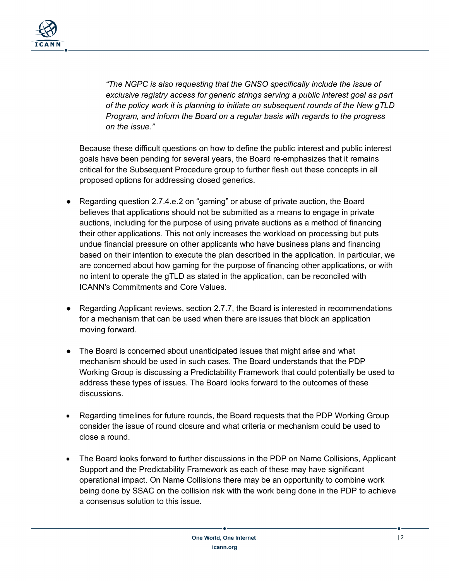

*"The NGPC is also requesting that the GNSO specifically include the issue of exclusive registry access for generic strings serving a public interest goal as part of the policy work it is planning to initiate on subsequent rounds of the New gTLD Program, and inform the Board on a regular basis with regards to the progress on the issue."*

Because these difficult questions on how to define the public interest and public interest goals have been pending for several years, the Board re-emphasizes that it remains critical for the Subsequent Procedure group to further flesh out these concepts in all proposed options for addressing closed generics.

- Regarding question 2.7.4.e.2 on "gaming" or abuse of private auction, the Board believes that applications should not be submitted as a means to engage in private auctions, including for the purpose of using private auctions as a method of financing their other applications. This not only increases the workload on processing but puts undue financial pressure on other applicants who have business plans and financing based on their intention to execute the plan described in the application. In particular, we are concerned about how gaming for the purpose of financing other applications, or with no intent to operate the gTLD as stated in the application, can be reconciled with ICANN's Commitments and Core Values.
- Regarding Applicant reviews, section 2.7.7, the Board is interested in recommendations for a mechanism that can be used when there are issues that block an application moving forward.
- The Board is concerned about unanticipated issues that might arise and what mechanism should be used in such cases. The Board understands that the PDP Working Group is discussing a Predictability Framework that could potentially be used to address these types of issues. The Board looks forward to the outcomes of these discussions.
- Regarding timelines for future rounds, the Board requests that the PDP Working Group consider the issue of round closure and what criteria or mechanism could be used to close a round.
- The Board looks forward to further discussions in the PDP on Name Collisions, Applicant Support and the Predictability Framework as each of these may have significant operational impact. On Name Collisions there may be an opportunity to combine work being done by SSAC on the collision risk with the work being done in the PDP to achieve a consensus solution to this issue.